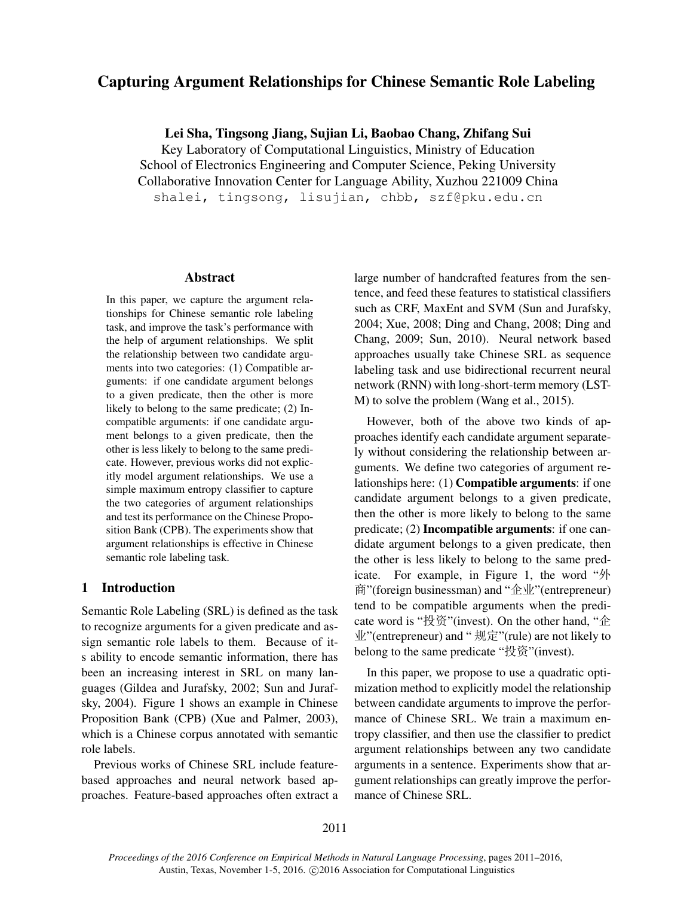# Capturing Argument Relationships for Chinese Semantic Role Labeling

Lei Sha, Tingsong Jiang, Sujian Li, Baobao Chang, Zhifang Sui

Key Laboratory of Computational Linguistics, Ministry of Education School of Electronics Engineering and Computer Science, Peking University Collaborative Innovation Center for Language Ability, Xuzhou 221009 China shalei, tingsong, lisujian, chbb, szf@pku.edu.cn

#### Abstract

In this paper, we capture the argument relationships for Chinese semantic role labeling task, and improve the task's performance with the help of argument relationships. We split the relationship between two candidate arguments into two categories: (1) Compatible arguments: if one candidate argument belongs to a given predicate, then the other is more likely to belong to the same predicate; (2) Incompatible arguments: if one candidate argument belongs to a given predicate, then the other is less likely to belong to the same predicate. However, previous works did not explicitly model argument relationships. We use a simple maximum entropy classifier to capture the two categories of argument relationships and test its performance on the Chinese Proposition Bank (CPB). The experiments show that argument relationships is effective in Chinese semantic role labeling task.

### 1 Introduction

Semantic Role Labeling (SRL) is defined as the task to recognize arguments for a given predicate and assign semantic role labels to them. Because of its ability to encode semantic information, there has been an increasing interest in SRL on many languages (Gildea and Jurafsky, 2002; Sun and Jurafsky, 2004). Figure 1 shows an example in Chinese Proposition Bank (CPB) (Xue and Palmer, 2003), which is a Chinese corpus annotated with semantic role labels.

Previous works of Chinese SRL include featurebased approaches and neural network based approaches. Feature-based approaches often extract a large number of handcrafted features from the sentence, and feed these features to statistical classifiers such as CRF, MaxEnt and SVM (Sun and Jurafsky, 2004; Xue, 2008; Ding and Chang, 2008; Ding and Chang, 2009; Sun, 2010). Neural network based approaches usually take Chinese SRL as sequence labeling task and use bidirectional recurrent neural network (RNN) with long-short-term memory (LST-M) to solve the problem (Wang et al., 2015).

However, both of the above two kinds of approaches identify each candidate argument separately without considering the relationship between arguments. We define two categories of argument relationships here: (1) Compatible arguments: if one candidate argument belongs to a given predicate, then the other is more likely to belong to the same predicate; (2) Incompatible arguments: if one candidate argument belongs to a given predicate, then the other is less likely to belong to the same predicate. For example, in Figure 1, the word "外 商"(foreign businessman) and "企业"(entrepreneur) tend to be compatible arguments when the predicate word is "投资"(invest). On the other hand, "企  $\Psi$ "(entrepreneur) and "规定"(rule) are not likely to belong to the same predicate "投资"(invest).

In this paper, we propose to use a quadratic optimization method to explicitly model the relationship between candidate arguments to improve the performance of Chinese SRL. We train a maximum entropy classifier, and then use the classifier to predict argument relationships between any two candidate arguments in a sentence. Experiments show that argument relationships can greatly improve the performance of Chinese SRL.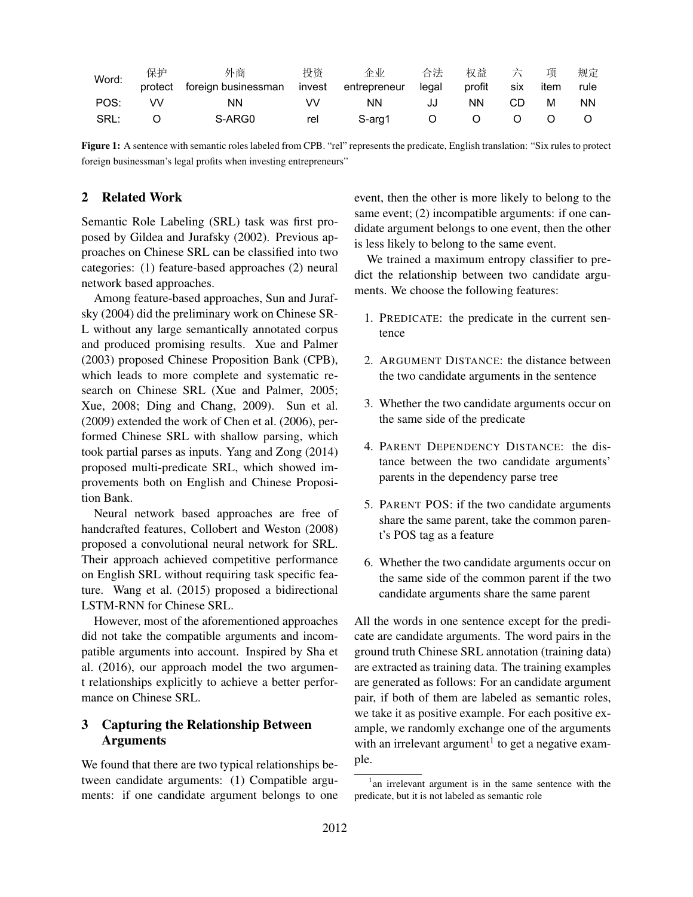| Word: | 保护<br>protect | 外商<br>foreign businessman | 投资<br>invest | 企业<br>entrepreneur | 合法<br>legal | 权益<br>profit | 六<br><b>SIX</b> | 项<br>item | 规定<br>rule |
|-------|---------------|---------------------------|--------------|--------------------|-------------|--------------|-----------------|-----------|------------|
| POS:  | VV            | ΝN                        | vv           | NN.                | JJ          | NN.          | CD              | м         | <b>NN</b>  |
| SRL:  |               | S-ARG0                    | rel          | S-arg1             | Ő           | Ő            |                 | O         |            |

Figure 1: A sentence with semantic roles labeled from CPB. "rel" represents the predicate, English translation: "Six rules to protect foreign businessman's legal profits when investing entrepreneurs"

### 2 Related Work

Semantic Role Labeling (SRL) task was first proposed by Gildea and Jurafsky (2002). Previous approaches on Chinese SRL can be classified into two categories: (1) feature-based approaches (2) neural network based approaches.

Among feature-based approaches, Sun and Jurafsky (2004) did the preliminary work on Chinese SR-L without any large semantically annotated corpus and produced promising results. Xue and Palmer (2003) proposed Chinese Proposition Bank (CPB), which leads to more complete and systematic research on Chinese SRL (Xue and Palmer, 2005; Xue, 2008; Ding and Chang, 2009). Sun et al. (2009) extended the work of Chen et al. (2006), performed Chinese SRL with shallow parsing, which took partial parses as inputs. Yang and Zong (2014) proposed multi-predicate SRL, which showed improvements both on English and Chinese Proposition Bank.

Neural network based approaches are free of handcrafted features, Collobert and Weston (2008) proposed a convolutional neural network for SRL. Their approach achieved competitive performance on English SRL without requiring task specific feature. Wang et al. (2015) proposed a bidirectional LSTM-RNN for Chinese SRL.

However, most of the aforementioned approaches did not take the compatible arguments and incompatible arguments into account. Inspired by Sha et al. (2016), our approach model the two argument relationships explicitly to achieve a better performance on Chinese SRL.

## 3 Capturing the Relationship Between Arguments

We found that there are two typical relationships between candidate arguments: (1) Compatible arguments: if one candidate argument belongs to one event, then the other is more likely to belong to the same event; (2) incompatible arguments: if one candidate argument belongs to one event, then the other is less likely to belong to the same event.

We trained a maximum entropy classifier to predict the relationship between two candidate arguments. We choose the following features:

- 1. PREDICATE: the predicate in the current sentence
- 2. ARGUMENT DISTANCE: the distance between the two candidate arguments in the sentence
- 3. Whether the two candidate arguments occur on the same side of the predicate
- 4. PARENT DEPENDENCY DISTANCE: the distance between the two candidate arguments' parents in the dependency parse tree
- 5. PARENT POS: if the two candidate arguments share the same parent, take the common parent's POS tag as a feature
- 6. Whether the two candidate arguments occur on the same side of the common parent if the two candidate arguments share the same parent

All the words in one sentence except for the predicate are candidate arguments. The word pairs in the ground truth Chinese SRL annotation (training data) are extracted as training data. The training examples are generated as follows: For an candidate argument pair, if both of them are labeled as semantic roles, we take it as positive example. For each positive example, we randomly exchange one of the arguments with an irrelevant argument<sup>1</sup> to get a negative example.

<sup>&</sup>lt;sup>1</sup> an irrelevant argument is in the same sentence with the predicate, but it is not labeled as semantic role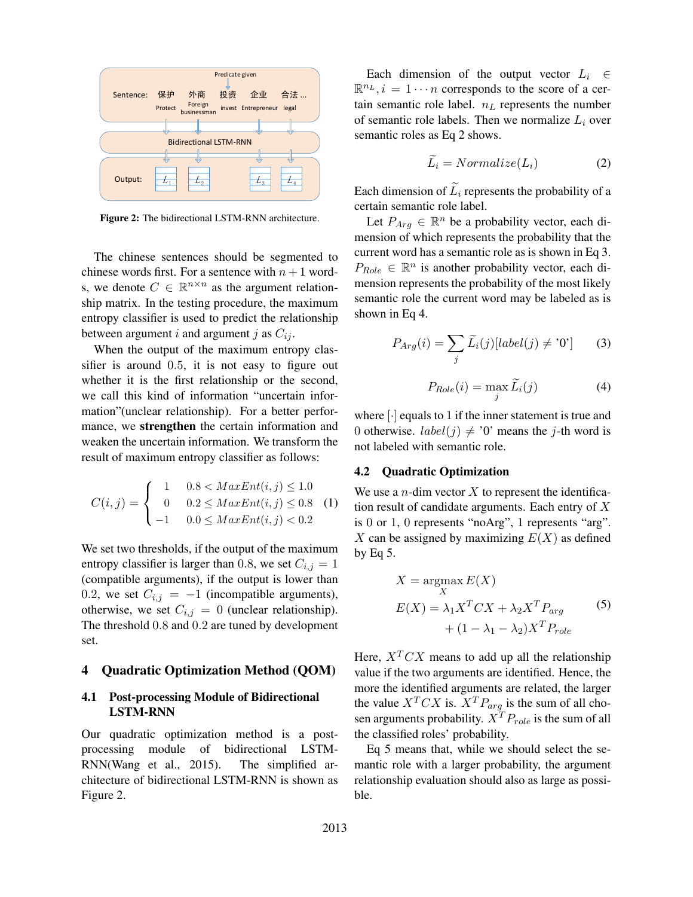

Figure 2: The bidirectional LSTM-RNN architecture.

The chinese sentences should be segmented to chinese words first. For a sentence with  $n + 1$  words, we denote  $C \in \mathbb{R}^{n \times n}$  as the argument relationship matrix. In the testing procedure, the maximum entropy classifier is used to predict the relationship between argument i and argument j as  $C_{ij}$ .

When the output of the maximum entropy classifier is around 0.5, it is not easy to figure out whether it is the first relationship or the second, we call this kind of information "uncertain information"(unclear relationship). For a better performance, we strengthen the certain information and weaken the uncertain information. We transform the result of maximum entropy classifier as follows:

$$
C(i,j) = \begin{cases} 1 & 0.8 < MaxEnt(i,j) \le 1.0 \\ 0 & 0.2 \le MaxEnt(i,j) \le 0.8 \\ -1 & 0.0 \le MaxEnt(i,j) < 0.2 \end{cases}
$$
(1)

We set two thresholds, if the output of the maximum entropy classifier is larger than 0.8, we set  $C_{i,j} = 1$ (compatible arguments), if the output is lower than 0.2, we set  $C_{i,j} = -1$  (incompatible arguments), otherwise, we set  $C_{i,j} = 0$  (unclear relationship). The threshold 0.8 and 0.2 are tuned by development set.

#### 4 Quadratic Optimization Method (QOM)

## 4.1 Post-processing Module of Bidirectional LSTM-RNN

Our quadratic optimization method is a postprocessing module of bidirectional LSTM-RNN(Wang et al., 2015). The simplified architecture of bidirectional LSTM-RNN is shown as Figure 2.

Each dimension of the output vector  $L_i \in$  $\mathbb{R}^{n_L}$ ,  $i = 1 \cdots n$  corresponds to the score of a certain semantic role label.  $n<sub>L</sub>$  represents the number of semantic role labels. Then we normalize  $L_i$  over semantic roles as Eq 2 shows.

$$
\widetilde{L}_i = Normalize(L_i) \tag{2}
$$

Each dimension of  $L_i$  represents the probability of a certain semantic role label.

Let  $P_{Arg} \in \mathbb{R}^n$  be a probability vector, each dimension of which represents the probability that the current word has a semantic role as is shown in Eq 3.  $P_{Role} \in \mathbb{R}^n$  is another probability vector, each dimension represents the probability of the most likely semantic role the current word may be labeled as is shown in Eq 4.

$$
P_{Arg}(i) = \sum_{j} \widetilde{L}_i(j) [label(j) \neq '0'] \tag{3}
$$

$$
P_{Role}(i) = \max_{j} \widetilde{L}_i(j) \tag{4}
$$

where  $\lceil \cdot \rceil$  equals to 1 if the inner statement is true and 0 otherwise.  $label(j) \neq '0'$  means the j-th word is not labeled with semantic role.

### 4.2 Quadratic Optimization

We use a  $n$ -dim vector  $X$  to represent the identification result of candidate arguments. Each entry of  $X$ is 0 or 1, 0 represents "noArg", 1 represents "arg". X can be assigned by maximizing  $E(X)$  as defined by Eq 5.

$$
X = \operatorname*{argmax}_{X} E(X)
$$
  
\n
$$
E(X) = \lambda_1 X^T C X + \lambda_2 X^T P_{arg}
$$
\n
$$
+ (1 - \lambda_1 - \lambda_2) X^T P_{role}
$$
\n(5)

Here,  $X<sup>T</sup>CX$  means to add up all the relationship value if the two arguments are identified. Hence, the more the identified arguments are related, the larger the value  $X^T C X$  is.  $X^T P_{arg}$  is the sum of all chosen arguments probability.  $X^T P_{role}$  is the sum of all the classified roles' probability.

Eq 5 means that, while we should select the semantic role with a larger probability, the argument relationship evaluation should also as large as possible.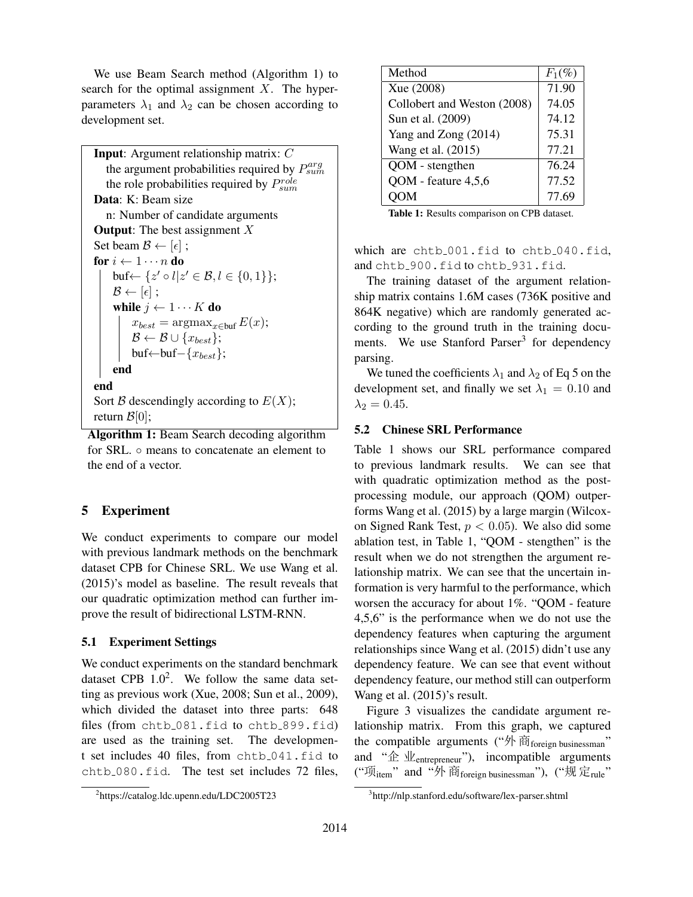We use Beam Search method (Algorithm 1) to search for the optimal assignment  $X$ . The hyperparameters  $\lambda_1$  and  $\lambda_2$  can be chosen according to development set.

Input: Argument relationship matrix: C the argument probabilities required by  $P_{sum}^{arg}$ the role probabilities required by  $P_{sum}^{role}$ Data: K: Beam size n: Number of candidate arguments **Output:** The best assignment  $X$ Set beam  $\mathcal{B} \leftarrow [\epsilon]$ ; for  $i \leftarrow 1 \cdots n$  do buf $\leftarrow \{z' \circ l | z' \in \mathcal{B}, l \in \{0, 1\}\};$  $\mathcal{B} \leftarrow [\epsilon]$ ; while  $j \leftarrow 1 \cdots K$  do  $x_{best} = \operatorname{argmax}_{x \in \text{buf}} E(x);$  $\mathcal{B} \leftarrow \mathcal{B} \cup \{x_{best}\};$ buf←buf– ${x_{best}}$ ; end end Sort  $\mathcal B$  descendingly according to  $E(X)$ ; return  $\mathcal{B}[0]$ ;

Algorithm 1: Beam Search decoding algorithm for SRL. ◦ means to concatenate an element to the end of a vector.

## 5 Experiment

We conduct experiments to compare our model with previous landmark methods on the benchmark dataset CPB for Chinese SRL. We use Wang et al. (2015)'s model as baseline. The result reveals that our quadratic optimization method can further improve the result of bidirectional LSTM-RNN.

### 5.1 Experiment Settings

We conduct experiments on the standard benchmark dataset CPB  $1.0^2$ . We follow the same data setting as previous work (Xue, 2008; Sun et al., 2009), which divided the dataset into three parts: 648 files (from chtb 081.fid to chtb 899.fid) are used as the training set. The development set includes 40 files, from chtb 041.fid to chtb 080.fid. The test set includes 72 files,

| Method                      | $F_1(\%)$ |  |  |
|-----------------------------|-----------|--|--|
| Xue (2008)                  | 71.90     |  |  |
| Collobert and Weston (2008) | 74.05     |  |  |
| Sun et al. (2009)           | 74.12     |  |  |
| Yang and Zong (2014)        | 75.31     |  |  |
| Wang et al. (2015)          | 77.21     |  |  |
| QOM - stengthen             | 76.24     |  |  |
| QOM - feature 4,5,6         | 77.52     |  |  |
| OМ                          | 77.69     |  |  |

Table 1: Results comparison on CPB dataset.

which are chtb 001.fid to chtb 040.fid, and chtb 900.fid to chtb 931.fid.

The training dataset of the argument relationship matrix contains 1.6M cases (736K positive and 864K negative) which are randomly generated according to the ground truth in the training documents. We use Stanford Parser<sup>3</sup> for dependency parsing.

We tuned the coefficients  $\lambda_1$  and  $\lambda_2$  of Eq 5 on the development set, and finally we set  $\lambda_1 = 0.10$  and  $\lambda_2 = 0.45$ .

#### 5.2 Chinese SRL Performance

Table 1 shows our SRL performance compared to previous landmark results. We can see that with quadratic optimization method as the postprocessing module, our approach (QOM) outperforms Wang et al. (2015) by a large margin (Wilcoxon Signed Rank Test,  $p < 0.05$ ). We also did some ablation test, in Table 1, "QOM - stengthen" is the result when we do not strengthen the argument relationship matrix. We can see that the uncertain information is very harmful to the performance, which worsen the accuracy for about 1%. "QOM - feature 4,5,6" is the performance when we do not use the dependency features when capturing the argument relationships since Wang et al. (2015) didn't use any dependency feature. We can see that event without dependency feature, our method still can outperform Wang et al. (2015)'s result.

Figure 3 visualizes the candidate argument relationship matrix. From this graph, we captured the compatible arguments ("外商foreign businessman" and " $\hat{\mathbb{E}}$  *i*lentrepreneur"), incompatible arguments ("项<sub>item</sub>" and "外商<sub>foreign businessman"), ("规定rule</sub>")

<sup>2</sup> https://catalog.ldc.upenn.edu/LDC2005T23

<sup>3</sup> http://nlp.stanford.edu/software/lex-parser.shtml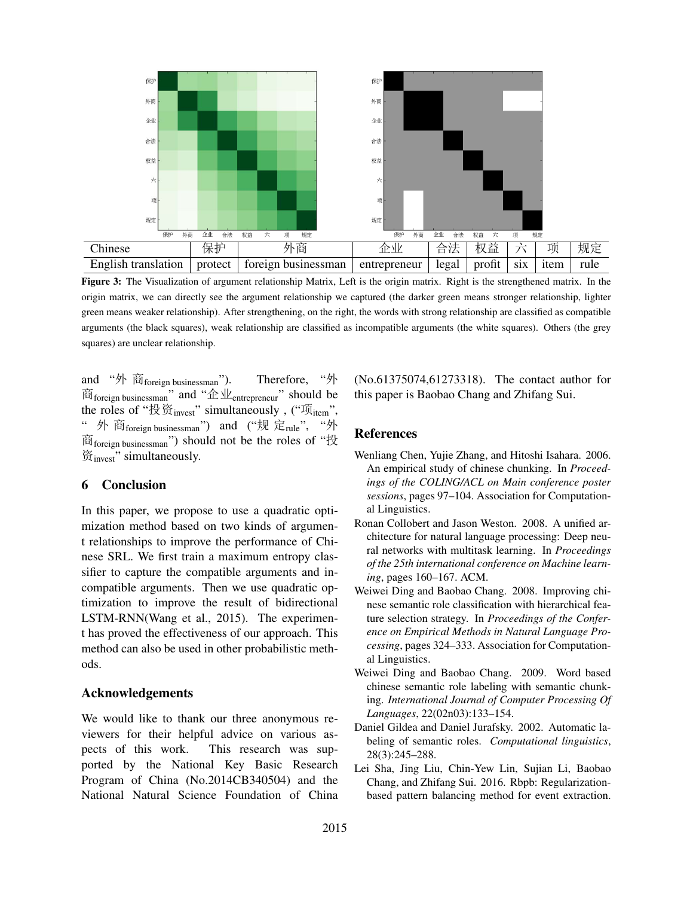

Figure 3: The Visualization of argument relationship Matrix, Left is the origin matrix. Right is the strengthened matrix. In the origin matrix, we can directly see the argument relationship we captured (the darker green means stronger relationship, lighter green means weaker relationship). After strengthening, on the right, the words with strong relationship are classified as compatible arguments (the black squares), weak relationship are classified as incompatible arguments (the white squares). Others (the grey squares) are unclear relationship.

and "外 商foreign businessman"). Therefore, "外 商foreign businessman" and "企业<sub>entrepreneur</sub>" should be the roles of "投资<sub>invest</sub>" simultaneously, ("项<sub>item</sub>", " 外 商<sub>foreign businessman</sub>") and ("规 定<sub>rule</sub>", "外  $\hat{F}$  foreign businessman") should not be the roles of " $\hat{E}$  $\mathcal{\hat{B}}_{\text{invest}}$ " simultaneously.

## 6 Conclusion

In this paper, we propose to use a quadratic optimization method based on two kinds of argument relationships to improve the performance of Chinese SRL. We first train a maximum entropy classifier to capture the compatible arguments and incompatible arguments. Then we use quadratic optimization to improve the result of bidirectional LSTM-RNN(Wang et al., 2015). The experiment has proved the effectiveness of our approach. This method can also be used in other probabilistic methods.

#### Acknowledgements

We would like to thank our three anonymous reviewers for their helpful advice on various aspects of this work. This research was supported by the National Key Basic Research Program of China (No.2014CB340504) and the National Natural Science Foundation of China (No.61375074,61273318). The contact author for this paper is Baobao Chang and Zhifang Sui.

#### References

- Wenliang Chen, Yujie Zhang, and Hitoshi Isahara. 2006. An empirical study of chinese chunking. In *Proceedings of the COLING/ACL on Main conference poster sessions*, pages 97–104. Association for Computational Linguistics.
- Ronan Collobert and Jason Weston. 2008. A unified architecture for natural language processing: Deep neural networks with multitask learning. In *Proceedings of the 25th international conference on Machine learning*, pages 160–167. ACM.
- Weiwei Ding and Baobao Chang. 2008. Improving chinese semantic role classification with hierarchical feature selection strategy. In *Proceedings of the Conference on Empirical Methods in Natural Language Processing*, pages 324–333. Association for Computational Linguistics.
- Weiwei Ding and Baobao Chang. 2009. Word based chinese semantic role labeling with semantic chunking. *International Journal of Computer Processing Of Languages*, 22(02n03):133–154.
- Daniel Gildea and Daniel Jurafsky. 2002. Automatic labeling of semantic roles. *Computational linguistics*, 28(3):245–288.
- Lei Sha, Jing Liu, Chin-Yew Lin, Sujian Li, Baobao Chang, and Zhifang Sui. 2016. Rbpb: Regularizationbased pattern balancing method for event extraction.